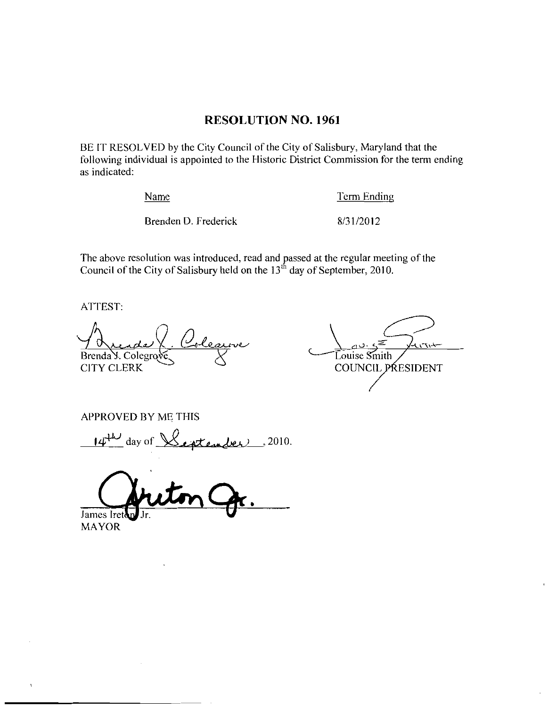### RESOLUTION NO. 1961

BE IT RESOLVED by the City Council of the City of Salisbury, Maryland that the following individual is appointed to the Historic District Commission for the term ending as indicated Name Term Endi<br>Brenden D. Frederick 8/31/2012

Name Term Ending

The above resolution was introduced, read and passed at the regular meeting of the Council of the City of Salisbury held on the 13<sup>th</sup> day of September, 2010.

ATTEST:

**CITY CLERK** 

Brenda V. Colegrove <br>CITY CLERK COUNCIL PRESIDENT

APPROVED BY ME THIS

 $14^{\text{th}}$  day of  $\sqrt{\sqrt{24}}$ 

James Iret

MAYOR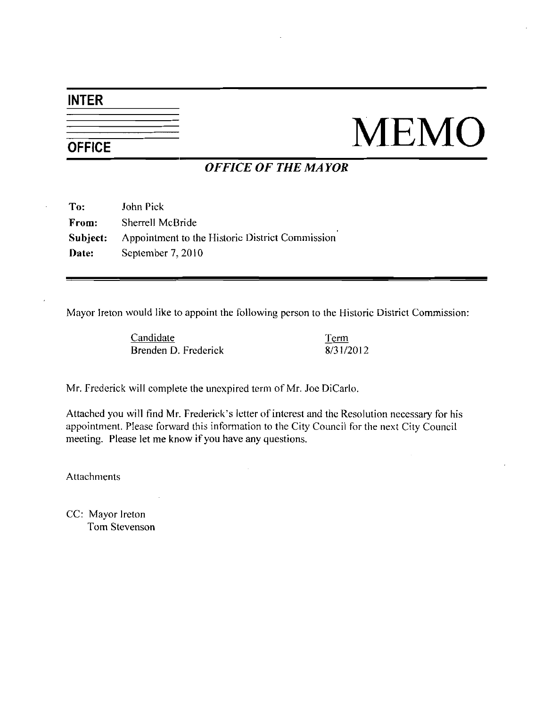## INTER

# $\frac{1}{\sqrt{\text{OPEICE}}}$  MEMO

## OFFICE OF THE MAYOR

| To:   | John Pick                                                       |
|-------|-----------------------------------------------------------------|
| From: | Sherrell McBride                                                |
|       | <b>Subject:</b> Appointment to the Historic District Commission |
| Date: | September 7, 2010                                               |

Mayor Ireton would like to appoint the following person to the Historic District Commission

Candidate Brenden D. Frederick Term the Historic<br>Term<br>8/31/2012

Mr. Frederick will complete the unexpired term of Mr. Joe DiCarlo.

Brenden D. Frederick<br>
Mr. Frederick will complete the unexpired term of Mr. Joe DiCarlo.<br>
Attached you will find Mr. Frederick's letter of interest and the Resolution necessary for his appointment. Please forward this information to the City Council for the next City Council meeting. Please let me know if you have any questions.

Attachments

CC: Mayor Ireton Tom Stevenson